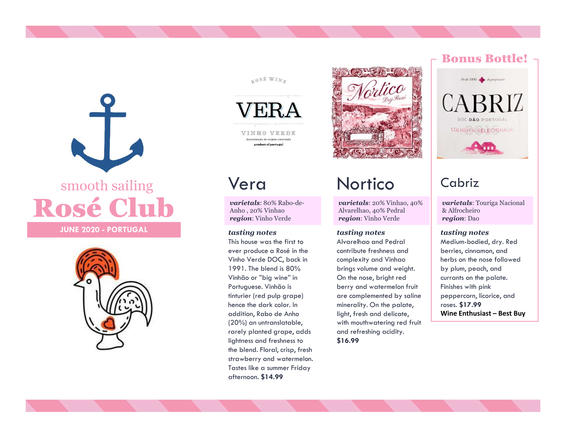# SERA<br>
SERA<br>
SERA<br>
SERA<br>
SERA<br>
SERA<br>
SERA<br>
NERA<br>
NERA<br>
NERA<br>
NERA<br>
NERA<br>
NERA<br>
NERA<br>
NERA<br>
NERA<br>
NERA<br>
NERA<br>
NERA<br>
NERA<br>
NERA<br>
NERA<br>
NERA<br>
NERA<br>
NERA<br>
NERA<br>
NERA<br>
NERA<br>
NERA<br>
NERA<br>
NERA<br>
NERA<br>
NERA<br>
NERA<br>
NERA<br>
NERA<br>
NERA<br>

# WERA smooth sailing **Vera**







varietals: 80% Rabo-de-

This house was the first to ever produce a Rosé in the 1991. The blend is 80% VACCONSERIES<br>
VACCONSERIES<br>
VACCONSERIES<br>
VACCONSERIES<br>
VACCONSERIES<br>
VACCONSERIES<br>
VACCONSERIES<br>
VACCONSERIES<br>
VACCONS<br>
VACCONS<br>
VACCONS<br>
VACCONS<br>
VACCONS<br>
VACCONS<br>
VACCONS<br>
VACCONS<br>
VACCONS<br>
Alvarelhao, 40% Pedral<br>
& Alf hence the dark color. In VARIO VERENE MORTICO Cabriz<br>
Anho, 20% Vinhao vertectles: 80% Rabo-de-<br>
Anho, 20% Vinhao vertectles: 20% Vinhao, 40% varietads: Touriga Na<br>
Anho, 20% Vinhao vertectles: 20% Vinhao, 40% varietads: Touriga Na<br>
Anho, 20% Vin (20%) an untranslatable, rarely planted grape, adds lightness and freshness to the blend. Floral, crisp, fresh strawberry and watermelon. Tastes like a summer Friday afternoon. \$14.99

# Vera Nortico

Alvarelhao, 40% Pedral

## tasting notes tasting notes tasting notes

**VERA**<br>
Vera Nortico Cabriz<br>
Maria e vinhão de vera de seu consideradade de vinhão de vinhão de vinhão de vinhão de vinhão de vinhão de vinhão de vinhão de vinhão de vinhão de vinhão de vinhão de vinhão de vinhão de vinhã VEIRA VINEO VEEDE<br>
VEIRA VINEO VEEDE<br>
VEIRA VINEO VEEDE<br>
VEIRA VEIRA VINEO VEIRA ELECTORADA<br>
Aho, 20% Vinhão<br>
Aho, 20% Vinhão Ahorela Ahorela Ahorela Ahorela Ahorela Ahorela Ahorela Ahorela Ahorela Ahorela Ahorela Ahorela contribute freshness and complexity and Vinhao herbs on the nose followed brings volume and weight. On the nose, bright red berry and watermelon fruit are complemented by saline minerality. On the palate, light, fresh and delicate, **Wine Enthusiast - Best Buy** with mouthwatering red fruit and refreshing acidity. \$16.99

## Bonus Bottle!



# Cabriz

**varietals**: 20% Vinhao, 40% varietals: Touriga Nacional & Alfrocheiro region: Dao

Medium-bodied, dry. Red berries, cinnamon, and by plum, peach, and currants on the palate. Finishes with pink peppercorn, licorice, and roses. \$17.99 **Cabriz**<br>
varietals: Touriga Nacional<br>
& Alfrocheiro<br>
region: Dao<br>
tasting notes<br>
Medium-bodied, dry. Red<br>
berries, cinnamon, and<br>
herbs on the nose followed<br>
by plum, peach, and<br>
currants on the palate.<br>
Finishes with pin